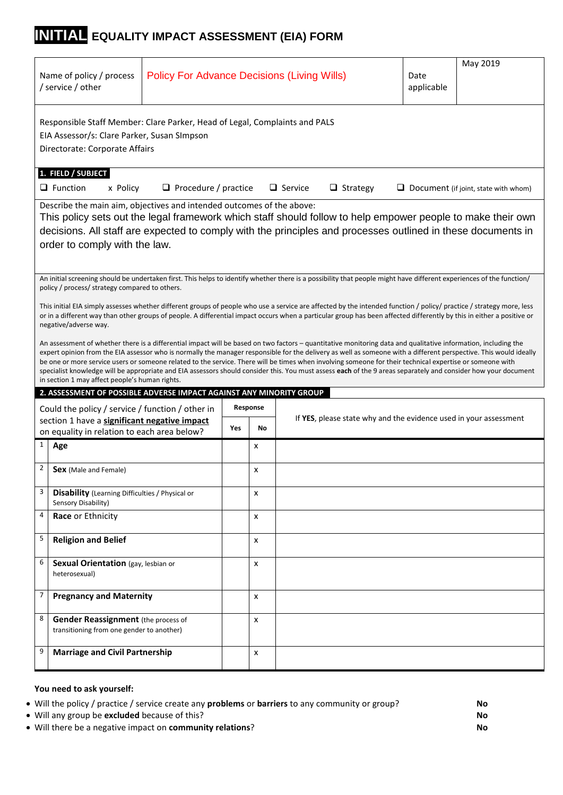## **INITIAL EQUALITY IMPACT ASSESSMENT (EIA) FORM**

| <b>Policy For Advance Decisions (Living Wills)</b><br>Name of policy / process<br>/ service / other |                                                                                                                                                                                                                                                                                                                                                                                                                                                                                                                                                                                                                                                                                                                                                                                                                                                                                                                                                                                                                                                                                                                                                                                                                                                                                                                         |  |     |                |                                                                   | Date<br>applicable | May 2019 |
|-----------------------------------------------------------------------------------------------------|-------------------------------------------------------------------------------------------------------------------------------------------------------------------------------------------------------------------------------------------------------------------------------------------------------------------------------------------------------------------------------------------------------------------------------------------------------------------------------------------------------------------------------------------------------------------------------------------------------------------------------------------------------------------------------------------------------------------------------------------------------------------------------------------------------------------------------------------------------------------------------------------------------------------------------------------------------------------------------------------------------------------------------------------------------------------------------------------------------------------------------------------------------------------------------------------------------------------------------------------------------------------------------------------------------------------------|--|-----|----------------|-------------------------------------------------------------------|--------------------|----------|
|                                                                                                     | Responsible Staff Member: Clare Parker, Head of Legal, Complaints and PALS<br>EIA Assessor/s: Clare Parker, Susan SImpson<br>Directorate: Corporate Affairs                                                                                                                                                                                                                                                                                                                                                                                                                                                                                                                                                                                                                                                                                                                                                                                                                                                                                                                                                                                                                                                                                                                                                             |  |     |                |                                                                   |                    |          |
|                                                                                                     | 1. FIELD / SUBJECT<br>$\Box$ Function<br>x Policy<br>$\Box$ Procedure / practice<br>$\Box$ Service<br>$\Box$ Strategy<br>$\Box$ Document (if joint, state with whom)                                                                                                                                                                                                                                                                                                                                                                                                                                                                                                                                                                                                                                                                                                                                                                                                                                                                                                                                                                                                                                                                                                                                                    |  |     |                |                                                                   |                    |          |
|                                                                                                     | Describe the main aim, objectives and intended outcomes of the above:<br>This policy sets out the legal framework which staff should follow to help empower people to make their own<br>decisions. All staff are expected to comply with the principles and processes outlined in these documents in<br>order to comply with the law.                                                                                                                                                                                                                                                                                                                                                                                                                                                                                                                                                                                                                                                                                                                                                                                                                                                                                                                                                                                   |  |     |                |                                                                   |                    |          |
|                                                                                                     | An initial screening should be undertaken first. This helps to identify whether there is a possibility that people might have different experiences of the function/<br>policy / process/ strategy compared to others.<br>This initial EIA simply assesses whether different groups of people who use a service are affected by the intended function / policy/ practice / strategy more, less<br>or in a different way than other groups of people. A differential impact occurs when a particular group has been affected differently by this in either a positive or<br>negative/adverse way.<br>An assessment of whether there is a differential impact will be based on two factors - quantitative monitoring data and qualitative information, including the<br>expert opinion from the EIA assessor who is normally the manager responsible for the delivery as well as someone with a different perspective. This would ideally<br>be one or more service users or someone related to the service. There will be times when involving someone for their technical expertise or someone with<br>specialist knowledge will be appropriate and EIA assessors should consider this. You must assess each of the 9 areas separately and consider how your document<br>in section 1 may affect people's human rights. |  |     |                |                                                                   |                    |          |
|                                                                                                     |                                                                                                                                                                                                                                                                                                                                                                                                                                                                                                                                                                                                                                                                                                                                                                                                                                                                                                                                                                                                                                                                                                                                                                                                                                                                                                                         |  |     |                |                                                                   |                    |          |
|                                                                                                     | 2. ASSESSMENT OF POSSIBLE ADVERSE IMPACT AGAINST ANY MINORITY GROUP                                                                                                                                                                                                                                                                                                                                                                                                                                                                                                                                                                                                                                                                                                                                                                                                                                                                                                                                                                                                                                                                                                                                                                                                                                                     |  |     |                |                                                                   |                    |          |
|                                                                                                     | Could the policy / service / function / other in<br>section 1 have a significant negative impact                                                                                                                                                                                                                                                                                                                                                                                                                                                                                                                                                                                                                                                                                                                                                                                                                                                                                                                                                                                                                                                                                                                                                                                                                        |  | Yes | Response<br>No | If YES, please state why and the evidence used in your assessment |                    |          |
| $\mathbf{1}$                                                                                        | on equality in relation to each area below?<br>Age                                                                                                                                                                                                                                                                                                                                                                                                                                                                                                                                                                                                                                                                                                                                                                                                                                                                                                                                                                                                                                                                                                                                                                                                                                                                      |  |     | x              |                                                                   |                    |          |
| $\overline{2}$                                                                                      | <b>Sex</b> (Male and Female)                                                                                                                                                                                                                                                                                                                                                                                                                                                                                                                                                                                                                                                                                                                                                                                                                                                                                                                                                                                                                                                                                                                                                                                                                                                                                            |  |     | X              |                                                                   |                    |          |
| 3                                                                                                   | <b>Disability</b> (Learning Difficulties / Physical or<br>Sensory Disability)                                                                                                                                                                                                                                                                                                                                                                                                                                                                                                                                                                                                                                                                                                                                                                                                                                                                                                                                                                                                                                                                                                                                                                                                                                           |  |     | X              |                                                                   |                    |          |
| 4                                                                                                   | Race or Ethnicity                                                                                                                                                                                                                                                                                                                                                                                                                                                                                                                                                                                                                                                                                                                                                                                                                                                                                                                                                                                                                                                                                                                                                                                                                                                                                                       |  |     | X              |                                                                   |                    |          |
| 5                                                                                                   | <b>Religion and Belief</b>                                                                                                                                                                                                                                                                                                                                                                                                                                                                                                                                                                                                                                                                                                                                                                                                                                                                                                                                                                                                                                                                                                                                                                                                                                                                                              |  |     | $\pmb{\times}$ |                                                                   |                    |          |
| 6                                                                                                   | Sexual Orientation (gay, lesbian or<br>heterosexual)                                                                                                                                                                                                                                                                                                                                                                                                                                                                                                                                                                                                                                                                                                                                                                                                                                                                                                                                                                                                                                                                                                                                                                                                                                                                    |  |     | x              |                                                                   |                    |          |
| 7                                                                                                   | <b>Pregnancy and Maternity</b>                                                                                                                                                                                                                                                                                                                                                                                                                                                                                                                                                                                                                                                                                                                                                                                                                                                                                                                                                                                                                                                                                                                                                                                                                                                                                          |  |     | X              |                                                                   |                    |          |
| 8                                                                                                   | <b>Gender Reassignment</b> (the process of<br>transitioning from one gender to another)                                                                                                                                                                                                                                                                                                                                                                                                                                                                                                                                                                                                                                                                                                                                                                                                                                                                                                                                                                                                                                                                                                                                                                                                                                 |  |     | X              |                                                                   |                    |          |
| 9                                                                                                   | <b>Marriage and Civil Partnership</b>                                                                                                                                                                                                                                                                                                                                                                                                                                                                                                                                                                                                                                                                                                                                                                                                                                                                                                                                                                                                                                                                                                                                                                                                                                                                                   |  |     | X              |                                                                   |                    |          |

## **You need to ask yourself:**

|  |  | • Will the policy / practice / service create any problems or barriers to any community or group? | No |
|--|--|---------------------------------------------------------------------------------------------------|----|
|--|--|---------------------------------------------------------------------------------------------------|----|

Will any group be **excluded** because of this? **No**

Will there be a negative impact on **community relations**? **No**